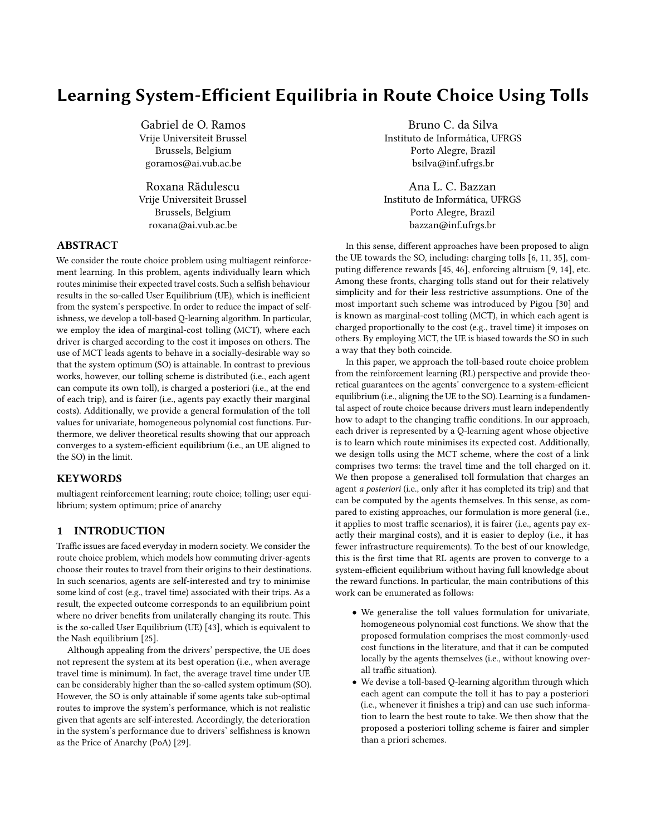# Learning System-Efficient Equilibria in Route Choice Using Tolls

Gabriel de O. Ramos Vrije Universiteit Brussel Brussels, Belgium goramos@ai.vub.ac.be

Roxana Rădulescu Vrije Universiteit Brussel Brussels, Belgium roxana@ai.vub.ac.be

## ABSTRACT

We consider the route choice problem using multiagent reinforcement learning. In this problem, agents individually learn which routes minimise their expected travel costs. Such a selfish behaviour results in the so-called User Equilibrium (UE), which is inefficient from the system's perspective. In order to reduce the impact of selfishness, we develop a toll-based Q-learning algorithm. In particular, we employ the idea of marginal-cost tolling (MCT), where each driver is charged according to the cost it imposes on others. The use of MCT leads agents to behave in a socially-desirable way so that the system optimum (SO) is attainable. In contrast to previous works, however, our tolling scheme is distributed (i.e., each agent can compute its own toll), is charged a posteriori (i.e., at the end of each trip), and is fairer (i.e., agents pay exactly their marginal costs). Additionally, we provide a general formulation of the toll values for univariate, homogeneous polynomial cost functions. Furthermore, we deliver theoretical results showing that our approach converges to a system-efficient equilibrium (i.e., an UE aligned to the SO) in the limit.

## **KEYWORDS**

multiagent reinforcement learning; route choice; tolling; user equilibrium; system optimum; price of anarchy

## 1 INTRODUCTION

Traffic issues are faced everyday in modern society. We consider the route choice problem, which models how commuting driver-agents choose their routes to travel from their origins to their destinations. In such scenarios, agents are self-interested and try to minimise some kind of cost (e.g., travel time) associated with their trips. As a result, the expected outcome corresponds to an equilibrium point where no driver benefits from unilaterally changing its route. This is the so-called User Equilibrium (UE) [\[43\]](#page-8-0), which is equivalent to the Nash equilibrium [\[25\]](#page-8-1).

Although appealing from the drivers' perspective, the UE does not represent the system at its best operation (i.e., when average travel time is minimum). In fact, the average travel time under UE can be considerably higher than the so-called system optimum (SO). However, the SO is only attainable if some agents take sub-optimal routes to improve the system's performance, which is not realistic given that agents are self-interested. Accordingly, the deterioration in the system's performance due to drivers' selfishness is known as the Price of Anarchy (PoA) [\[29\]](#page-8-2).

Bruno C. da Silva Instituto de Informática, UFRGS Porto Alegre, Brazil bsilva@inf.ufrgs.br

Ana L. C. Bazzan Instituto de Informática, UFRGS Porto Alegre, Brazil bazzan@inf.ufrgs.br

In this sense, different approaches have been proposed to align the UE towards the SO, including: charging tolls [\[6,](#page-8-3) [11,](#page-8-4) [35\]](#page-8-5), computing difference rewards [\[45,](#page-8-6) [46\]](#page-8-7), enforcing altruism [\[9,](#page-8-8) [14\]](#page-8-9), etc. Among these fronts, charging tolls stand out for their relatively simplicity and for their less restrictive assumptions. One of the most important such scheme was introduced by Pigou [\[30\]](#page-8-10) and is known as marginal-cost tolling (MCT), in which each agent is charged proportionally to the cost (e.g., travel time) it imposes on others. By employing MCT, the UE is biased towards the SO in such a way that they both coincide.

In this paper, we approach the toll-based route choice problem from the reinforcement learning (RL) perspective and provide theoretical guarantees on the agents' convergence to a system-efficient equilibrium (i.e., aligning the UE to the SO). Learning is a fundamental aspect of route choice because drivers must learn independently how to adapt to the changing traffic conditions. In our approach, each driver is represented by a Q-learning agent whose objective is to learn which route minimises its expected cost. Additionally, we design tolls using the MCT scheme, where the cost of a link comprises two terms: the travel time and the toll charged on it. We then propose a generalised toll formulation that charges an agent a posteriori (i.e., only after it has completed its trip) and that can be computed by the agents themselves. In this sense, as compared to existing approaches, our formulation is more general (i.e., it applies to most traffic scenarios), it is fairer (i.e., agents pay exactly their marginal costs), and it is easier to deploy (i.e., it has fewer infrastructure requirements). To the best of our knowledge, this is the first time that RL agents are proven to converge to a system-efficient equilibrium without having full knowledge about the reward functions. In particular, the main contributions of this work can be enumerated as follows:

- We generalise the toll values formulation for univariate, homogeneous polynomial cost functions. We show that the proposed formulation comprises the most commonly-used cost functions in the literature, and that it can be computed locally by the agents themselves (i.e., without knowing overall traffic situation).
- We devise a toll-based Q-learning algorithm through which each agent can compute the toll it has to pay a posteriori (i.e., whenever it finishes a trip) and can use such information to learn the best route to take. We then show that the proposed a posteriori tolling scheme is fairer and simpler than a priori schemes.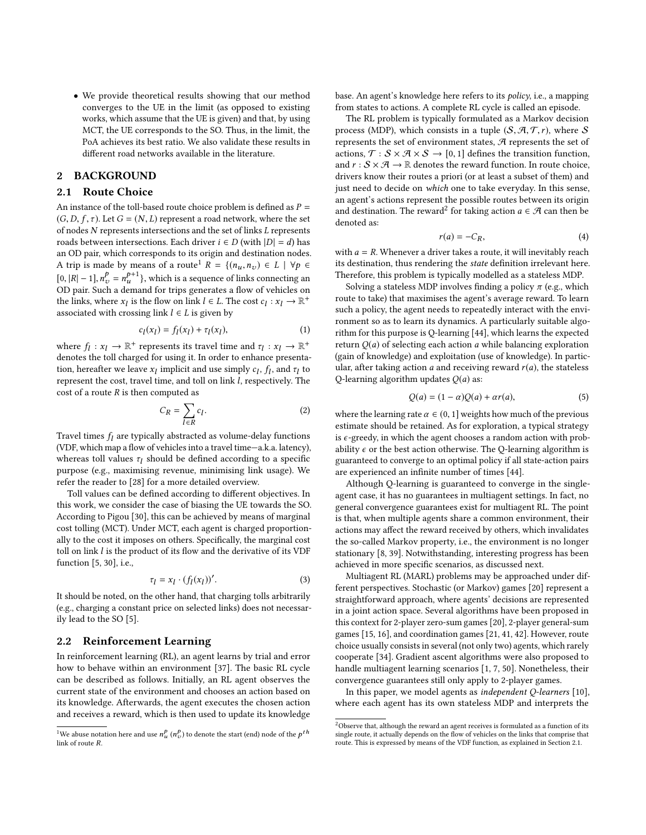• We provide theoretical results showing that our method converges to the UE in the limit (as opposed to existing works, which assume that the UE is given) and that, by using MCT, the UE corresponds to the SO. Thus, in the limit, the PoA achieves its best ratio. We also validate these results in different road networks available in the literature.

## 2 BACKGROUND

#### <span id="page-1-2"></span>2.1 Route Choice

An instance of the toll-based route choice problem is defined as  $P =$  $(G, D, f, \tau)$ . Let  $G = (N, L)$  represent a road network, where the set of nodes N represents intersections and the set of links L represents roads between intersections. Each driver  $i \in D$  (with  $|D| = d$ ) has an OD pair, which corresponds to its origin and destination nodes. A trip is made by means of a route<sup>[1](#page-1-0)</sup>  $R = \{(n_u, n_v) \in L \mid \forall p \in$  $[0, |R| - 1], n_v^p = n_u^{p+1}$ , which is a sequence of links connecting an OD pair. Such a demand for trips generates a flow of vehicles on the links, where  $x_l$  is the flow on link  $l \in L$ . The cost  $c_l : x_l \to \mathbb{R}^+$ <br>associated with crossing link  $l \in L$  is given by associated with crossing link  $l \in L$  is given by

$$
c_l(x_l) = f_l(x_l) + \tau_l(x_l),\tag{1}
$$

where  $f_l: x_l \to \mathbb{R}^+$  represents its travel time and  $\tau_l: x_l \to \mathbb{R}^+$ <br>denotes the toll charged for using it. In order to enhance presentadenotes the toll charged for using it. In order to enhance presentation, hereafter we leave  $x_l$  implicit and use simply  $c_l$ ,  $f_l$ , and  $\tau_l$  to represent the cost travel time, and toll on link *l* respectively. The represent the cost, travel time, and toll on link l, respectively. The cost of a route  $R$  is then computed as

<span id="page-1-4"></span>
$$
C_R = \sum_{l \in R} c_l.
$$
 (2)

Travel times  $f_l$  are typically abstracted as volume-delay functions (VDE which man a flow of vehicles into a travel time-a  $k$  a latency) (VDF, which map a flow of vehicles into a travel time—a.k.a. latency), whereas toll values  $\tau_l$  should be defined according to a specific<br>purpose (e.g. maximising revenue, minimising link usage) We purpose (e.g., maximising revenue, minimising link usage). We refer the reader to [\[28\]](#page-8-11) for a more detailed overview.

Toll values can be defined according to different objectives. In this work, we consider the case of biasing the UE towards the SO. According to Pigou [\[30\]](#page-8-10), this can be achieved by means of marginal cost tolling (MCT). Under MCT, each agent is charged proportionally to the cost it imposes on others. Specifically, the marginal cost toll on link  $l$  is the product of its flow and the derivative of its VDF function [\[5,](#page-8-12) [30\]](#page-8-10), i.e.,

<span id="page-1-3"></span>
$$
\tau_l = x_l \cdot (f_l(x_l))'.
$$
 (3)

It should be noted, on the other hand, that charging tolls arbitrarily (e.g., charging a constant price on selected links) does not necessarily lead to the SO [\[5\]](#page-8-12).

#### <span id="page-1-7"></span>2.2 Reinforcement Learning

In reinforcement learning (RL), an agent learns by trial and error how to behave within an environment [\[37\]](#page-8-13). The basic RL cycle can be described as follows. Initially, an RL agent observes the current state of the environment and chooses an action based on its knowledge. Afterwards, the agent executes the chosen action and receives a reward, which is then used to update its knowledge base. An agent's knowledge here refers to its policy, i.e., a mapping from states to actions. A complete RL cycle is called an episode.

The RL problem is typically formulated as a Markov decision process (MDP), which consists in a tuple  $(S, \mathcal{A}, \mathcal{T}, r)$ , where S represents the set of environment states,  $\mathcal A$  represents the set of actions,  $\mathcal{T}: \mathcal{S} \times \mathcal{A} \times \mathcal{S} \rightarrow [0, 1]$  defines the transition function, and  $r : \mathcal{S} \times \mathcal{A} \rightarrow \mathbb{R}$  denotes the reward function. In route choice, drivers know their routes a priori (or at least a subset of them) and just need to decide on which one to take everyday. In this sense, an agent's actions represent the possible routes between its origin and destination. The reward<sup>[2](#page-1-1)</sup> for taking action  $a \in \mathcal{A}$  can then be denoted as: denoted as:

<span id="page-1-5"></span>
$$
r(a) = -C_R,\tag{4}
$$

with  $a = R$ . Whenever a driver takes a route, it will inevitably reach its destination, thus rendering the state definition irrelevant here. Therefore, this problem is typically modelled as a stateless MDP.

Solving a stateless MDP involves finding a policy  $\pi$  (e.g., which route to take) that maximises the agent's average reward. To learn such a policy, the agent needs to repeatedly interact with the environment so as to learn its dynamics. A particularly suitable algorithm for this purpose is Q-learning [\[44\]](#page-8-14), which learns the expected return  $Q(a)$  of selecting each action a while balancing exploration (gain of knowledge) and exploitation (use of knowledge). In particular, after taking action  $a$  and receiving reward  $r(a)$ , the stateless O-learning algorithm updates  $O(a)$  as:

<span id="page-1-6"></span>
$$
Q(a) = (1 - \alpha)Q(a) + \alpha r(a), \tag{5}
$$

where the learning rate  $\alpha \in (0, 1]$  weights how much of the previous estimate should be retained. As for exploration, a typical strategy is  $\epsilon$ -greedy, in which the agent chooses a random action with probability  $\epsilon$  or the best action otherwise. The Q-learning algorithm is guaranteed to converge to an optimal policy if all state-action pairs are experienced an infinite number of times [\[44\]](#page-8-14).

Although Q-learning is guaranteed to converge in the singleagent case, it has no guarantees in multiagent settings. In fact, no general convergence guarantees exist for multiagent RL. The point is that, when multiple agents share a common environment, their actions may affect the reward received by others, which invalidates the so-called Markov property, i.e., the environment is no longer stationary [\[8,](#page-8-15) [39\]](#page-8-16). Notwithstanding, interesting progress has been achieved in more specific scenarios, as discussed next.

Multiagent RL (MARL) problems may be approached under different perspectives. Stochastic (or Markov) games [\[20\]](#page-8-17) represent a straightforward approach, where agents' decisions are represented in a joint action space. Several algorithms have been proposed in this context for 2-player zero-sum games [\[20\]](#page-8-17), 2-player general-sum games [\[15,](#page-8-18) [16\]](#page-8-19), and coordination games [\[21,](#page-8-20) [41,](#page-8-21) [42\]](#page-8-22). However, route choice usually consists in several (not only two) agents, which rarely cooperate [\[34\]](#page-8-23). Gradient ascent algorithms were also proposed to handle multiagent learning scenarios [\[1,](#page-8-24) [7,](#page-8-25) [50\]](#page-8-26). Nonetheless, their convergence guarantees still only apply to 2-player games.

In this paper, we model agents as independent Q-learners [\[10\]](#page-8-27), where each agent has its own stateless MDP and interprets the

<span id="page-1-0"></span><sup>&</sup>lt;sup>1</sup>We abuse notation here and use  $n_u^p(n_v^p)$  to denote the start (end) node of the  $p^{th}$ link of route R.

<span id="page-1-1"></span> $^2$  Observe that, although the reward an agent receives is formulated as a function of its single route, it actually depends on the flow of vehicles on the links that comprise that route. This is expressed by means of the VDF function, as explained in Section [2.1.](#page-1-2)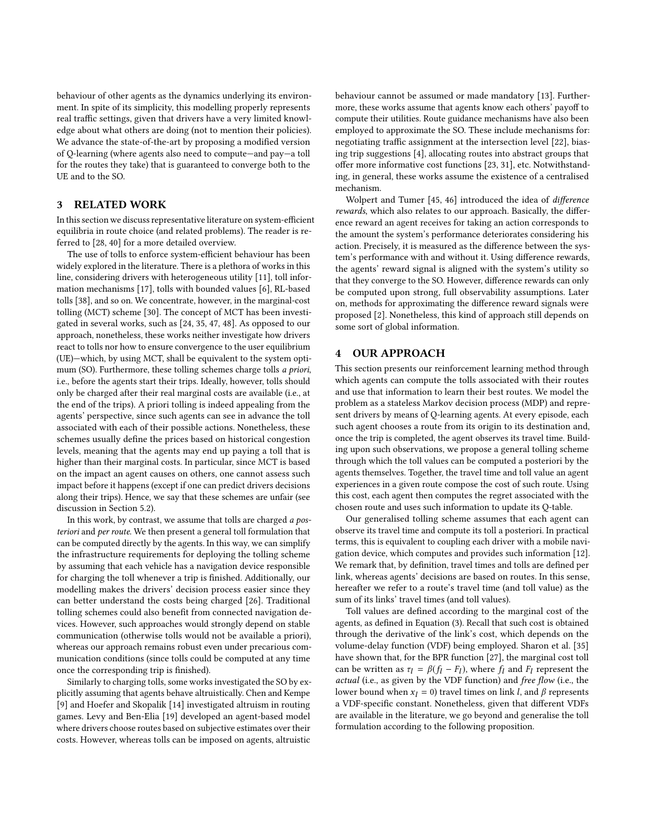behaviour of other agents as the dynamics underlying its environment. In spite of its simplicity, this modelling properly represents real traffic settings, given that drivers have a very limited knowledge about what others are doing (not to mention their policies). We advance the state-of-the-art by proposing a modified version of Q-learning (where agents also need to compute—and pay—a toll for the routes they take) that is guaranteed to converge both to the UE and to the SO.

## 3 RELATED WORK

In this section we discuss representative literature on system-efficient equilibria in route choice (and related problems). The reader is referred to [\[28,](#page-8-11) [40\]](#page-8-28) for a more detailed overview.

The use of tolls to enforce system-efficient behaviour has been widely explored in the literature. There is a plethora of works in this line, considering drivers with heterogeneous utility [\[11\]](#page-8-4), toll information mechanisms [\[17\]](#page-8-29), tolls with bounded values [\[6\]](#page-8-3), RL-based tolls [\[38\]](#page-8-30), and so on. We concentrate, however, in the marginal-cost tolling (MCT) scheme [\[30\]](#page-8-10). The concept of MCT has been investigated in several works, such as [\[24,](#page-8-31) [35,](#page-8-5) [47,](#page-8-32) [48\]](#page-8-33). As opposed to our approach, nonetheless, these works neither investigate how drivers react to tolls nor how to ensure convergence to the user equilibrium (UE)—which, by using MCT, shall be equivalent to the system optimum (SO). Furthermore, these tolling schemes charge tolls a priori, i.e., before the agents start their trips. Ideally, however, tolls should only be charged after their real marginal costs are available (i.e., at the end of the trips). A priori tolling is indeed appealing from the agents' perspective, since such agents can see in advance the toll associated with each of their possible actions. Nonetheless, these schemes usually define the prices based on historical congestion levels, meaning that the agents may end up paying a toll that is higher than their marginal costs. In particular, since MCT is based on the impact an agent causes on others, one cannot assess such impact before it happens (except if one can predict drivers decisions along their trips). Hence, we say that these schemes are unfair (see discussion in Section [5.2\)](#page-5-0).

In this work, by contrast, we assume that tolls are charged a posteriori and per route. We then present a general toll formulation that can be computed directly by the agents. In this way, we can simplify the infrastructure requirements for deploying the tolling scheme by assuming that each vehicle has a navigation device responsible for charging the toll whenever a trip is finished. Additionally, our modelling makes the drivers' decision process easier since they can better understand the costs being charged [\[26\]](#page-8-34). Traditional tolling schemes could also benefit from connected navigation devices. However, such approaches would strongly depend on stable communication (otherwise tolls would not be available a priori), whereas our approach remains robust even under precarious communication conditions (since tolls could be computed at any time once the corresponding trip is finished).

Similarly to charging tolls, some works investigated the SO by explicitly assuming that agents behave altruistically. Chen and Kempe [\[9\]](#page-8-8) and Hoefer and Skopalik [\[14\]](#page-8-9) investigated altruism in routing games. Levy and Ben-Elia [\[19\]](#page-8-35) developed an agent-based model where drivers choose routes based on subjective estimates over their costs. However, whereas tolls can be imposed on agents, altruistic

behaviour cannot be assumed or made mandatory [\[13\]](#page-8-36). Furthermore, these works assume that agents know each others' payoff to compute their utilities. Route guidance mechanisms have also been employed to approximate the SO. These include mechanisms for: negotiating traffic assignment at the intersection level [\[22\]](#page-8-37), biasing trip suggestions [\[4\]](#page-8-38), allocating routes into abstract groups that offer more informative cost functions [\[23,](#page-8-39) [31\]](#page-8-40), etc. Notwithstanding, in general, these works assume the existence of a centralised mechanism.

Wolpert and Tumer [\[45,](#page-8-6) [46\]](#page-8-7) introduced the idea of difference rewards, which also relates to our approach. Basically, the difference reward an agent receives for taking an action corresponds to the amount the system's performance deteriorates considering his action. Precisely, it is measured as the difference between the system's performance with and without it. Using difference rewards, the agents' reward signal is aligned with the system's utility so that they converge to the SO. However, difference rewards can only be computed upon strong, full observability assumptions. Later on, methods for approximating the difference reward signals were proposed [\[2\]](#page-8-41). Nonetheless, this kind of approach still depends on some sort of global information.

## <span id="page-2-1"></span>4 OUR APPROACH

This section presents our reinforcement learning method through which agents can compute the tolls associated with their routes and use that information to learn their best routes. We model the problem as a stateless Markov decision process (MDP) and represent drivers by means of Q-learning agents. At every episode, each such agent chooses a route from its origin to its destination and, once the trip is completed, the agent observes its travel time. Building upon such observations, we propose a general tolling scheme through which the toll values can be computed a posteriori by the agents themselves. Together, the travel time and toll value an agent experiences in a given route compose the cost of such route. Using this cost, each agent then computes the regret associated with the chosen route and uses such information to update its Q-table.

Our generalised tolling scheme assumes that each agent can observe its travel time and compute its toll a posteriori. In practical terms, this is equivalent to coupling each driver with a mobile navigation device, which computes and provides such information [\[12\]](#page-8-42). We remark that, by definition, travel times and tolls are defined per link, whereas agents' decisions are based on routes. In this sense, hereafter we refer to a route's travel time (and toll value) as the sum of its links' travel times (and toll values).

<span id="page-2-0"></span>Toll values are defined according to the marginal cost of the agents, as defined in Equation [\(3\)](#page-1-3). Recall that such cost is obtained through the derivative of the link's cost, which depends on the volume-delay function (VDF) being employed. Sharon et al. [\[35\]](#page-8-5) have shown that, for the BPR function [\[27\]](#page-8-43), the marginal cost toll can be written as  $\tau_l = \beta(f_l - F_l)$ , where  $f_l$  and  $F_l$  represent the actual (i.e., as given by the VDE function) and free flow (i.e., the actual (i.e., as given by the VDF function) and free flow (i.e., the lower bound when  $x_l = 0$ ) travel times on link l, and  $\beta$  represents a VDF-specific constant. Nonetheless, given that different VDFs are available in the literature, we go beyond and generalise the toll formulation according to the following proposition.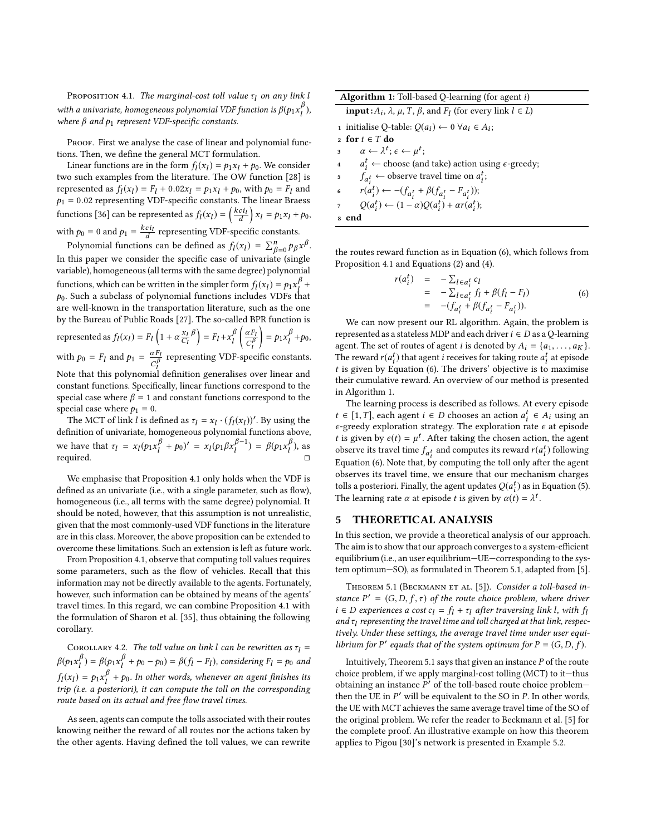PROPOSITION 4.1. The marginal-cost toll value  $\tau_l$  on any link l with a univariate, homogeneous polynomial VDF function is  $\beta(p_1x_1^D)$ , where  $\beta$  and  $p_1$  represent VDF-specific constants.

PROOF. First we analyse the case of linear and polynomial functions. Then, we define the general MCT formulation.

Linear functions are in the form  $f_l(x_l) = p_1x_l + p_0$ . We consider a such examples from the literature. The OW function [28] is two such examples from the literature. The OW function [\[28\]](#page-8-11) is represented as  $f_l(x_l) = F_l + 0.02x_l = p_1x_l + p_0$ , with  $p_0 = F_l$  and  $p_0 = 0.02$  representing VDE-specific constants. The linear Braces  $p_1 = 0.02$  representing VDF-specific constants. The linear Braess functions [\[36\]](#page-8-44) can be represented as  $f_l(x_l) = \left(\frac{kci_l}{d}\right) x_l = p_1 x_l + p_0$ , with  $p_0 = 0$  and  $p_1 = \frac{kci_l}{d}$  representing VDF-specific constants.

Polynomial functions can be defined as  $f_l(x_l) = \sum_{\beta=0}^n p_{\beta} x^{\beta}$ .<br>this paper we consider the specific case of univariate (single In this paper we consider the specific case of univariate (single variable), homogeneous (all terms with the same degree) polynomial functions, which can be written in the simpler form  $f_l(x_l) = p_1 x_l^{\beta} +$  $p_0$ . Such a subclass of polynomial functions includes VDFs that are well-known in the transportation literature such as the one are well-known in the transportation literature, such as the one by the Bureau of Public Roads [\[27\]](#page-8-43). The so-called BPR function is represented as  $f_l(x_l) = F_l\left(1 + \alpha \frac{x_l}{C_l}\beta\right) = F_l + x_l^{\beta}$  $\left(\frac{\alpha F_l}{C_l^{\beta}}\right)$ with  $p_0 = F_l$  and  $p_1 = \frac{\alpha F_l}{C_l^{\beta}}$  representing VDF-specific constants.  $= p_1 x_l^{\beta}$  $\int_l^{\beta} + p_0,$ Note that this polynomial definition generalises over linear and constant functions. Specifically, linear functions correspond to the special case where  $\beta = 1$  and constant functions correspond to the special case where  $p_1 = 0$ .

The MCT of link *l* is defined as  $\tau_l = x_l \cdot (f_l(x_l))'$ . By using the finition of university bomogeneous polynomial functions above definition of univariate, homogeneous polynomial functions above, we have that  $\tau_l = x_l (p_1 x_l^{\beta} + p_0)' = x_l (p_1 \beta x_l^{\beta-1}) = \beta (p_1 x_l^{\beta})$ , as required. □

We emphasise that Proposition [4.1](#page-2-0) only holds when the VDF is defined as an univariate (i.e., with a single parameter, such as flow), homogeneous (i.e., all terms with the same degree) polynomial. It should be noted, however, that this assumption is not unrealistic, given that the most commonly-used VDF functions in the literature are in this class. Moreover, the above proposition can be extended to overcome these limitations. Such an extension is left as future work.

From Proposition [4.1,](#page-2-0) observe that computing toll values requires some parameters, such as the flow of vehicles. Recall that this information may not be directly available to the agents. Fortunately, however, such information can be obtained by means of the agents' travel times. In this regard, we can combine Proposition [4.1](#page-2-0) with the formulation of Sharon et al. [\[35\]](#page-8-5), thus obtaining the following corollary.

COROLLARY 4.2. The toll value on link l can be rewritten as  $\tau_1 =$  $\beta(p_1x_1^p) = \beta(p_1x_1^p + p_0 - p_0) = \beta(f_l - F_l)$ , considering  $F_l = p_0$  and  $\langle x_l \rangle = p_1 x_l^{\beta} + p_0$ . In other words, whenever an agent finishes its<br>in (i.e., a posteriori), it can compute the toll on the corresponding  $\lim_{t \to t}$  (i.e. a posteriori), it can compute the toll on the corresponding route based on its actual and free flow travel times.

As seen, agents can compute the tolls associated with their routes knowing neither the reward of all routes nor the actions taken by the other agents. Having defined the toll values, we can rewrite

| <b>Algorithm 1:</b> Toll-based Q-learning (for agent $i$ )                                    |  |  |  |  |  |
|-----------------------------------------------------------------------------------------------|--|--|--|--|--|
| <b>input</b> : $A_i$ , $\lambda$ , $\mu$ , T, $\beta$ , and $F_l$ (for every link $l \in L$ ) |  |  |  |  |  |
| 1 initialise Q-table: $Q(a_i)$ ← 0 $\forall a_i \in A_i$ ;                                    |  |  |  |  |  |
| 2 for $t \in T$ do                                                                            |  |  |  |  |  |
| $\alpha \leftarrow \lambda^t : \epsilon \leftarrow \mu^t$                                     |  |  |  |  |  |
| 4 $a_i^t \leftarrow$ choose (and take) action using $\epsilon$ -greedy;                       |  |  |  |  |  |
| 5 $f_{a_i^t} \leftarrow$ observe travel time on $a_i^t$ ;                                     |  |  |  |  |  |
| 6 $r(a_i^t) \leftarrow -(f_{a_i^t} + \beta (f_{a_i^t} - F_{a_i^t}))$ ;                        |  |  |  |  |  |
| $Q(a_i^t) \leftarrow (1 - \alpha)Q(a_i^t) + \alpha r(a_i^t);$<br>$\overline{7}$               |  |  |  |  |  |
| end<br>8                                                                                      |  |  |  |  |  |

<span id="page-3-1"></span>the routes reward function as in Equation [\(6\)](#page-3-0), which follows from Proposition [4.1](#page-2-0) and Equations [\(2\)](#page-1-4) and [\(4\)](#page-1-5).

<span id="page-3-0"></span>
$$
r(a_i^t) = -\sum_{l \in a_i^t} c_l
$$
  
=  $-\sum_{l \in a_i^t} f_l + \beta(f_l - F_l)$   
=  $-(f_{a_i^t} + \beta(f_{a_i^t} - F_{a_i^t})).$  (6)

We can now present our RL algorithm. Again, the problem is represented as a stateless MDP and each driver  $i \in D$  as a Q-learning agent. The set of routes of agent *i* is denoted by  $A_i = \{a_1, \ldots, a_K\}.$ The reward  $r(a_i^t)$  that agent *i* receives for taking route  $a_i^t$  at episode<br>t is given by Equation (6) The drivers' objective is to maximise t is given by Equation [\(6\)](#page-3-0). The drivers' objective is to maximise<br>their cumulative reward. An overview of our method is precented their cumulative reward. An overview of our method is presented in Algorithm [1.](#page-3-1)

The learning process is described as follows. At every episode  $t \in [1, T]$ , each agent  $i \in D$  chooses an action  $a_i^t \in A_i$  using an  $\epsilon$ -greedy exploration strategy. The exploration rate  $\epsilon$  at enjoyed  $\epsilon$ -greedy exploration strategy. The exploration rate  $\epsilon$  at episode<br>t is given by  $c(t) = u^t$ . After taking the chosen action, the agent t is given by  $\epsilon(t) = \mu^t$ . After taking the chosen action, the agent<br>observe its travel time f, and computes its reward  $r(a^t)$  following observe its travel time  $f_{a_i^t}$  and computes its reward  $r(a_i^t)$  following<br>Faustion (6) Note that by computing the tell only ofter the egent Equation [\(6\)](#page-3-0). Note that, by computing the toll only after the agent observes its travel time, we ensure that our mechanism charges tolls a posteriori. Finally, the agent updates  $Q(a_i^t)$  as in Equation [\(5\)](#page-1-6).<br>The learning rate  $\alpha$  at anisode t is given by  $\alpha(t) = 1^t$ . The learning rate  $\alpha$  at episode t is given by  $\alpha(t) = \lambda^t$ .

#### 5 THEORETICAL ANALYSIS

In this section, we provide a theoretical analysis of our approach. The aim is to show that our approach converges to a system-efficient equilibrium (i.e., an user equilibrium—UE—corresponding to the system optimum—SO), as formulated in Theorem [5.1,](#page-3-2) adapted from [\[5\]](#page-8-12).

<span id="page-3-2"></span>THEOREM 5.1 (BECKMANN ET AL. [\[5\]](#page-8-12)). Consider a toll-based instance  $P' = (G, D, f, \tau)$  of the route choice problem, where driver  $i \in D$  experiences a cost  $c_i - f_i + \tau$ , after traversing link l, with f.  $i \in D$  experiences a cost  $c_l = f_l + \tau_l$  after traversing link l, with  $f_l$ and τ<sub>l</sub> representing the travel time and toll charged at that link, respec-<br>tively Under these settings, the average travel time under user equitively. Under these settings, the average travel time under user equilibrium for P' equals that of the system optimum for  $P = (G, D, \hat{f})$ .

<span id="page-3-3"></span>Intuitively, Theorem [5.1](#page-3-2) says that given an instance  $P$  of the route choice problem, if we apply marginal-cost tolling (MCT) to it—thus obtaining an instance  $\overline{P}'$  of the toll-based route choice problem—<br>then the UE in  $P'$  will be equivalent to the SQ in P. In other words then the UE in  $P'$  will be equivalent to the SO in  $P$ . In other words, the LIE with MCT achieves the same average travel time of the SO of the UE with MCT achieves the same average travel time of the SO of the original problem. We refer the reader to Beckmann et al. [\[5\]](#page-8-12) for the complete proof. An illustrative example on how this theorem applies to Pigou [\[30\]](#page-8-10)'s network is presented in Example [5.2.](#page-3-3)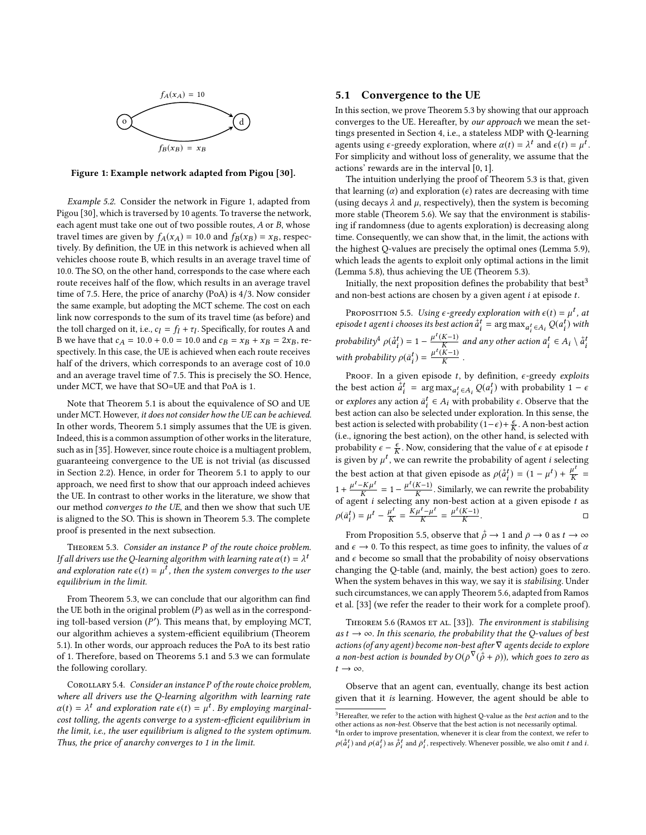<span id="page-4-0"></span>

Figure 1: Example network adapted from Pigou [\[30\]](#page-8-10).

Example 5.2. Consider the network in Figure [1,](#page-4-0) adapted from Pigou [\[30\]](#page-8-10), which is traversed by 10 agents. To traverse the network, each agent must take one out of two possible routes, A or B, whose travel times are given by  $f_A(x_A) = 10.0$  and  $f_B(x_B) = x_B$ , respectively. By definition, the UE in this network is achieved when all vehicles choose route B, which results in an average travel time of 10.0. The SO, on the other hand, corresponds to the case where each route receives half of the flow, which results in an average travel time of 7.5. Here, the price of anarchy (PoA) is 4/3. Now consider the same example, but adopting the MCT scheme. The cost on each link now corresponds to the sum of its travel time (as before) and the toll charged on it, i.e.,  $c_l = f_l + \tau_l$ . Specifically, for routes A and<br>B we have that  $c_l = 10.0 + 0.0 = 10.0$  and  $c_R = \text{cm} + \text{cm} = 2 \text{m}$ . B we have that  $c_A = 10.0 + 0.0 = 10.0$  and  $c_B = x_B + x_B = 2x_B$ , respectively. In this case, the UE is achieved when each route receives half of the drivers, which corresponds to an average cost of 10.0 and an average travel time of 7.5. This is precisely the SO. Hence, under MCT, we have that SO=UE and that PoA is 1.

Note that Theorem [5.1](#page-3-2) is about the equivalence of SO and UE under MCT. However, it does not consider how the UE can be achieved. In other words, Theorem [5.1](#page-3-2) simply assumes that the UE is given. Indeed, this is a common assumption of other works in the literature, such as in [\[35\]](#page-8-5). However, since route choice is a multiagent problem, guaranteeing convergence to the UE is not trivial (as discussed in Section [2.2\)](#page-1-7). Hence, in order for Theorem [5.1](#page-3-2) to apply to our approach, we need first to show that our approach indeed achieves the UE. In contrast to other works in the literature, we show that our method converges to the UE, and then we show that such UE is aligned to the SO. This is shown in Theorem [5.3.](#page-4-1) The complete proof is presented in the next subsection.

<span id="page-4-1"></span>THEOREM 5.3. Consider an instance P of the route choice problem. If all drivers use the Q-learning algorithm with learning rate  $\alpha(t) = \lambda^t$ <br>and exploration rate  $\epsilon(t) = u^t$ , then the system converges to the user and exploration rate  $\epsilon(t) = \mu^t$ , then the system converges to the user<br>equilibrium in the limit equilibrium in the limit.

From Theorem [5.3,](#page-4-1) we can conclude that our algorithm can find the UE both in the original problem  $(P)$  as well as in the corresponding toll-based version  $(P')$ . This means that, by employing MCT,<br>our algorithm achieves a system efficient equilibrium (Theorem our algorithm achieves a system-efficient equilibrium (Theorem [5.1\)](#page-3-2). In other words, our approach reduces the PoA to its best ratio of 1. Therefore, based on Theorems [5.1](#page-3-2) and [5.3](#page-4-1) we can formulate the following corollary.

COROLLARY 5.4. Consider an instance P of the route choice problem, where all drivers use the Q-learning algorithm with learning rate  $\alpha(t) = \lambda^t$  and exploration rate  $\epsilon(t) = \mu^t$ . By employing marginal-<br>cost tolling the agents converge to a system-efficient equilibrium in cost tolling, the agents converge to a system-efficient equilibrium in the limit, i.e., the user equilibrium is aligned to the system optimum. Thus, the price of anarchy converges to 1 in the limit.

### 5.1 Convergence to the UE

In this section, we prove Theorem [5.3](#page-4-1) by showing that our approach converges to the UE. Hereafter, by our approach we mean the settings presented in Section [4,](#page-2-1) i.e., a stateless MDP with Q-learning agents using  $\epsilon$ -greedy exploration, where  $\alpha(t) = \lambda^t$  and  $\epsilon(t) = \mu^t$ .<br>For simplicity and without loss of generality, we assume that the For simplicity and without loss of generality, we assume that the actions' rewards are in the interval [0, <sup>1</sup>].

The intuition underlying the proof of Theorem [5.3](#page-4-1) is that, given that learning  $(\alpha)$  and exploration  $(\epsilon)$  rates are decreasing with time (using decays  $\lambda$  and  $\mu$ , respectively), then the system is becoming more stable (Theorem [5.6\)](#page-4-2). We say that the environment is stabilising if randomness (due to agents exploration) is decreasing along time. Consequently, we can show that, in the limit, the actions with the highest Q-values are precisely the optimal ones (Lemma [5.9\)](#page-5-1), which leads the agents to exploit only optimal actions in the limit (Lemma [5.8\)](#page-5-2), thus achieving the UE (Theorem [5.3\)](#page-4-1).

Initially, the next proposition defines the probability that best<sup>[3](#page-4-3)</sup> and non-best actions are chosen by a given agent  $i$  at episode  $t$ .

<span id="page-4-5"></span>PROPOSITION 5.5. Using  $\epsilon$ -greedy exploration with  $\epsilon(t) = \mu^t$ , at second t agent i chooses its hest action  $\tilde{\sigma}^t$  = arg may  $\epsilon$ ,  $O(\sigma^t)$  with episode t agent i chooses its best action  $a_i^t = \arg \max_{a_i^t \in A_i} Q(a_i^t)$  with *episode t agent t chooses its best action*  $a_i^* = \arg \max_{a_i^* \in A_i} Q(a_i^*$ <br>*probability<sup>[4](#page-4-4)</sup>*  $\rho(\dot{a}_i^t) = 1 - \frac{\mu^t(K-1)}{K}$  *and any other action*  $\bar{a}_i^t \in A$  $a_i$ ) = 1 –  $\frac{\mu^t(K-1)}{K}$ and any other action  $\bar{a}_i^t \in A_i \setminus \dot{a}$ probability  $p(a_i^t) = 1 - \frac{K}{K}$  and any other action  $a_i^t \in A_i \setminus a_i^t$ <br>with probability  $p(\bar{a}_i^t) = \frac{\mu^t(K-1)}{K}$ .  $a_i$  $= \frac{\mu^t(K-1)}{K}$ .

PROOF. In a given episode t, by definition,  $\epsilon$ -greedy exploits the best action  $\overline{\overline{a}}$  $\vec{a}_t^t = \arg \max_{a_t^t \in A_t} Q(a_t^t)$  with probability  $1 - \epsilon$ or explores any action  $\bar{a}_t^t \in A_t$  with probability  $\epsilon$ . Observe that the<br>hest action can also be selected under exploration. In this sense, the  $\frac{1}{2}$  best action can also be selected under exploration. In this sense, the best action is selected with probability  $(1 - \epsilon) + \frac{\epsilon}{K}$ . A non-best action<br>(i.e., ignoring the best action), on the other hand, is selected with (i.e., ignoring the best action), on the other hand, is selected with probability  $\epsilon - \frac{\epsilon}{K}$ . Now, considering that the value of  $\epsilon$  at episode to  $\epsilon$  is given by  $u^t$ , we can rewrite the probability of exert i relacting is given by  $\mu^t$ , we can rewrite the probability of agent *i* selecting the best action at that given episode as  $\rho(\vec{a})$ <br>  $u^t = K u^t$  $\dot{a}_i^t$  = (1 –  $\mu^t$ ) +  $\frac{\mu^t}{K}$  $\ddot{\phantom{1}}$ =  $1+\frac{\mu^t-K\mu^t}{K}$ n  $= 1 - \frac{\mu^t (K-1)}{K}$ electing anv . Similarly, we can rewrite the probability of agent *i* selecting any non-best action at a given episode *t* as  $\rho(\bar{a})$  $\bar{a}_i^t$ ) =  $\mu^t - \frac{\mu^t}{K}$  $=\frac{K\mu^t-\mu^t}{K}$  $=\frac{\mu^t(K-1)}{K}$ . □

From Proposition [5.5,](#page-4-5) observe that  $\dot{\rho} \to 1$  and  $\bar{\rho} \to 0$  as  $t \to \infty$ <br>d  $\epsilon \to 0$ . To this repeat as time goes to infinity the values of  $\alpha$ and  $\epsilon \rightarrow 0$ . To this respect, as time goes to infinity, the values of  $\alpha$ and  $\epsilon$  become so small that the probability of noisy observations changing the Q-table (and, mainly, the best action) goes to zero. When the system behaves in this way, we say it is stabilising. Under such circumstances, we can apply Theorem [5.6,](#page-4-2) adapted from Ramos et al. [\[33\]](#page-8-45) (we refer the reader to their work for a complete proof).

<span id="page-4-2"></span>THEOREM 5.6 (RAMOS ET AL. [\[33\]](#page-8-45)). The environment is stabilising as  $t \to \infty$ . In this scenario, the probability that the Q-values of best actions (of any agent) become non-best after  $\nabla$  agents decide to explore a non-best action is bounded by  $O(\bar{\rho}^{\nabla}(\vec{\rho}+\bar{\rho}))$ , which goes to zero as  $t \to \infty$ ρ  $t \rightarrow \infty$ .

Observe that an agent can, eventually, change its best action given that it is learning. However, the agent should be able to

<span id="page-4-3"></span> $^3\rm{Hereafter},$  we refer to the action with highest Q-value as the  $best$  action and to the other actions as non-best. Observe that the best action is not necessarily optimal.

<span id="page-4-4"></span><sup>&</sup>lt;sup>4</sup>In order to improve presentation, whenever it is clear from the context, we refer to  $\rho(\stackrel{\rightarrow}{a}$  $\vec{a}_i^t$ ) and  $\rho(\vec{a})$  $\bar{a}_i^{\hat{t}}$ ) as  $\stackrel{+}{\rho}$  $\vec{p}_i^t$  and  $\vec{p}_i^t$ , respectively. Whenever possible, we also omit t and i.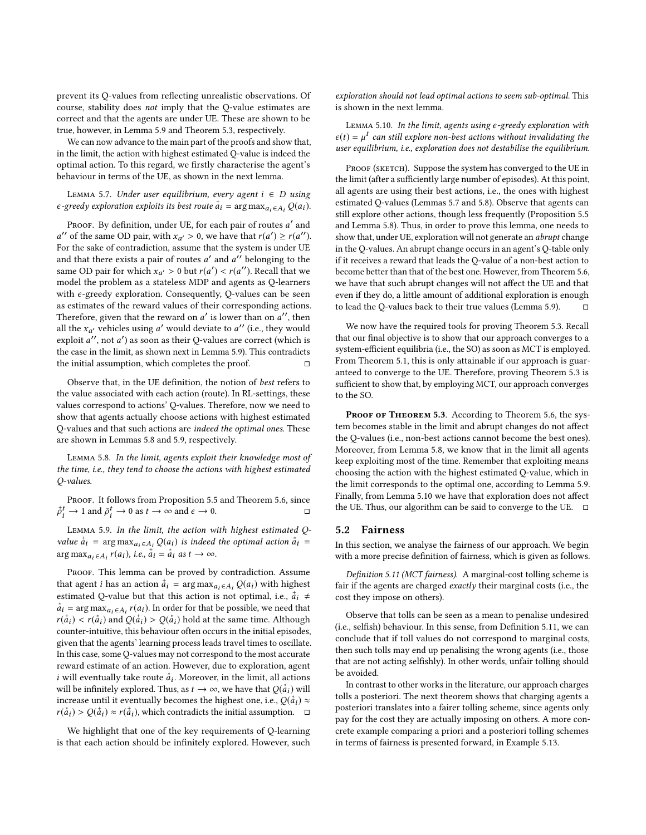prevent its Q-values from reflecting unrealistic observations. Of course, stability does not imply that the Q-value estimates are correct and that the agents are under UE. These are shown to be true, however, in Lemma [5.9](#page-5-1) and Theorem [5.3,](#page-4-1) respectively.

We can now advance to the main part of the proofs and show that, in the limit, the action with highest estimated Q-value is indeed the optimal action. To this regard, we firstly characterise the agent's behaviour in terms of the UE, as shown in the next lemma.

<span id="page-5-3"></span>LEMMA 5.7. Under user equilibrium, every agent  $i \in D$  using  $\epsilon$ -greedy exploration exploits its best route  $\dot{a}_i = \arg \max_{a_i \in A_i} Q(a_i)$ .

Proof. By definition, under UE, for each pair of routes  $a'$  and of the same OD pair with  $x \to 0$ , we have that  $r(a') \ge r(a'')$ For the sake of contradiction, assume that the system is under UE '' of the same OD pair, with  $x_{a'} > 0$ , we have that  $r(a') \ge r(a'')$ .<br>
or the sake of contradiction, assume that the system is under IIF. and that there exists a pair of routes a' and a'' belonging to the<br>same OD pair for which  $x \to 0$  but  $r(a') \le r(a'')$ . Becall that we same OD pair for which  $x_{a'} > 0$  but  $r(a') < r(a'')$ . Recall that we model the problem as a stateless MDP and agents as O-learners model the problem as a stateless MDP and agents as Q-learners with  $\epsilon$ -greedy exploration. Consequently, Q-values can be seen as estimates of the reward values of their corresponding actions. Therefore, given that the reward on a' is lower than on a'', then<br>all the x, usebicles using a' would deviate to a'' (i.e., they would all the  $x_{a'}$  vehicles using a' would deviate to a'' (i.e., they would<br>exploit a'', not a') as soon as their O-values are correct (which is exploit  $a''$ , not  $a'$ ) as soon as their Q-values are correct (which is<br>the case in the limit as shown next in Lemma 5.9). This contradicts the case in the limit, as shown next in Lemma [5.9\)](#page-5-1). This contradicts the initial assumption, which completes the proof.  $□$ 

Observe that, in the UE definition, the notion of best refers to the value associated with each action (route). In RL-settings, these values correspond to actions' Q-values. Therefore, now we need to show that agents actually choose actions with highest estimated Q-values and that such actions are indeed the optimal ones. These are shown in Lemmas [5.8](#page-5-2) and [5.9,](#page-5-1) respectively.

<span id="page-5-2"></span>Lemma 5.8. In the limit, agents exploit their knowledge most of the time, i.e., they tend to choose the actions with highest estimated Q-values.

PROOF. It follows from Proposition [5.5](#page-4-5) and Theorem [5.6,](#page-4-2) since +  $\vec{p}_i^t \to 1$  and  $\vec{p}_i^t \to 0$  as  $t \to \infty$  and  $\epsilon \to 0$ .  $\Box$ 

<span id="page-5-1"></span>Lemma 5.9. In the limit, the action with highest estimated Qvalue  $\dot{a}_i$  =  $\arg \max_{a_i \in A_i} Q(a_i)$  is indeed the optimal action  $\dot{a}_i$  =  $\arg \max_{a_i \in A_i} r(a_i)$ , i.e.,  $\dot{a}_i = \dot{a}_i$  as  $t \to \infty$ .

PROOF. This lemma can be proved by contradiction. Assume that agent *i* has an action  $\dot{a}_i = \arg \max_{a_i \in A_i} Q(a_i)$  with highest estimated O value but that this action is not original i.e.  $\dot{a} + \dot{b}$ estimated Q-value but that this action is not optimal, i.e.,  $\dot{a}_i \neq \dot{a}_i - \arg \max_{a \in \mathcal{A}} f(a_i)$ . In order for that be possible we need that  $a_i$  = arg max $a_i \in A_i$   $r(a_i)$ . In order for that be possible, we need that  $r(\dot{a}) \leq r(\dot{a})$  and  $Q(\dot{a}) \geq Q(\dot{a})$  hold at the same time. Although  $r(\dot{a}_i) < r(\dot{a}_i)$  and  $Q(\dot{a}_i) > Q(\dot{a}_i)$  hold at the same time. Although counter-intuitive this behaviour often occurs in the initial enisodes counter-intuitive, this behaviour often occurs in the initial episodes, given that the agents' learning process leads travel times to oscillate. In this case, some Q-values may not correspond to the most accurate reward estimate of an action. However, due to exploration, agent *i* will eventually take route  $\dot{a}_i$ . Moreover, in the limit, all actions will be infinitely explored. Thus, as  $t \to \infty$ , we have that  $O(\dot{a} \cdot)$  will will be infinitely explored. Thus, as  $t \to \infty$ , we have that  $Q(\hat{a}_i)$  will increase until it eventually becomes the highest one i.e.  $Q(\hat{a}_i) \propto$ increase until it eventually becomes the highest one, i.e.,  $Q(\dot{a}_i) \approx r(\dot{a}_i) \approx r(\dot{a}_i)$  which contradicts the initial assumption  $r(\dot{a}_i) > Q(\dot{a}_i) \approx r(\dot{a}_i)$ , which contradicts the initial assumption.  $\Box$ 

We highlight that one of the key requirements of Q-learning is that each action should be infinitely explored. However, such

exploration should not lead optimal actions to seem sub-optimal. This is shown in the next lemma.

<span id="page-5-4"></span>LEMMA 5.10. In the limit, agents using  $\epsilon$ -greedy exploration with  $\epsilon(t) = \mu^t$  can still explore non-best actions without invalidating the<br>user equilibrium i.e., exploration does not destabilise the equilibrium user equilibrium, i.e., exploration does not destabilise the equilibrium.

PROOF (SKETCH). Suppose the system has converged to the UE in the limit (after a sufficiently large number of episodes). At this point, all agents are using their best actions, i.e., the ones with highest estimated Q-values (Lemmas [5.7](#page-5-3) and [5.8\)](#page-5-2). Observe that agents can still explore other actions, though less frequently (Proposition [5.5](#page-4-5) and Lemma [5.8\)](#page-5-2). Thus, in order to prove this lemma, one needs to show that, under UE, exploration will not generate an abrupt change in the Q-values. An abrupt change occurs in an agent's Q-table only if it receives a reward that leads the Q-value of a non-best action to become better than that of the best one. However, from Theorem [5.6,](#page-4-2) we have that such abrupt changes will not affect the UE and that even if they do, a little amount of additional exploration is enough to lead the Q-values back to their true values (Lemma [5.9\)](#page-5-1).  $\Box$ 

We now have the required tools for proving Theorem [5.3.](#page-4-1) Recall that our final objective is to show that our approach converges to a system-efficient equilibria (i.e., the SO) as soon as MCT is employed. From Theorem [5.1,](#page-3-2) this is only attainable if our approach is guaranteed to converge to the UE. Therefore, proving Theorem [5.3](#page-4-1) is sufficient to show that, by employing MCT, our approach converges to the SO.

PROOF OF THEOREM [5.3](#page-4-1). According to Theorem [5.6,](#page-4-2) the system becomes stable in the limit and abrupt changes do not affect the Q-values (i.e., non-best actions cannot become the best ones). Moreover, from Lemma [5.8,](#page-5-2) we know that in the limit all agents keep exploiting most of the time. Remember that exploiting means choosing the action with the highest estimated Q-value, which in the limit corresponds to the optimal one, according to Lemma [5.9.](#page-5-1) Finally, from Lemma [5.10](#page-5-4) we have that exploration does not affect the UE. Thus, our algorithm can be said to converge to the UE.  $\square$ 

#### <span id="page-5-0"></span>5.2 Fairness

In this section, we analyse the fairness of our approach. We begin with a more precise definition of fairness, which is given as follows.

<span id="page-5-5"></span>Definition 5.11 (MCT fairness). A marginal-cost tolling scheme is fair if the agents are charged exactly their marginal costs (i.e., the cost they impose on others).

Observe that tolls can be seen as a mean to penalise undesired (i.e., selfish) behaviour. In this sense, from Definition [5.11,](#page-5-5) we can conclude that if toll values do not correspond to marginal costs, then such tolls may end up penalising the wrong agents (i.e., those that are not acting selfishly). In other words, unfair tolling should be avoided.

In contrast to other works in the literature, our approach charges tolls a posteriori. The next theorem shows that charging agents a posteriori translates into a fairer tolling scheme, since agents only pay for the cost they are actually imposing on others. A more concrete example comparing a priori and a posteriori tolling schemes in terms of fairness is presented forward, in Example [5.13.](#page-6-0)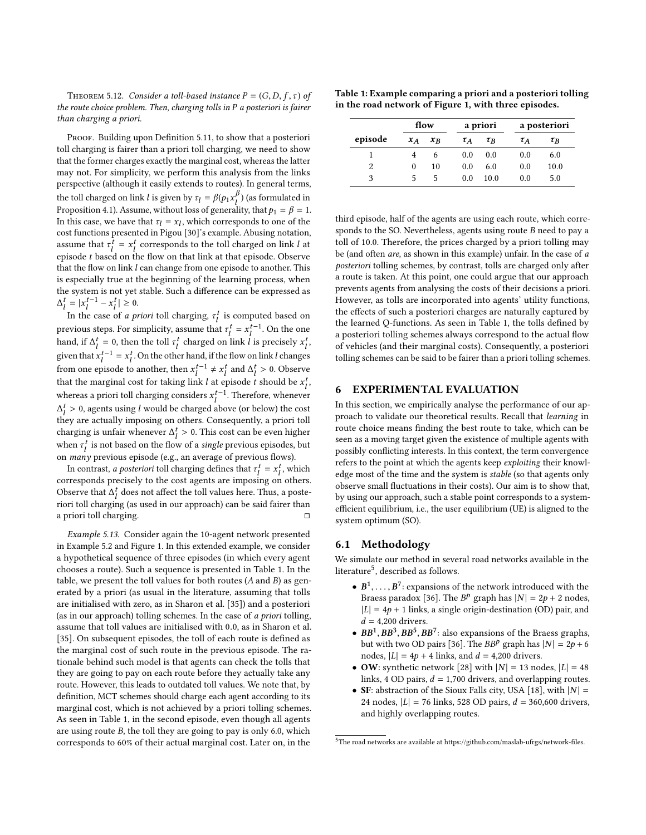THEOREM 5.12. Consider a toll-based instance  $P = (G, D, f, \tau)$  of the route choice problem. Then, charging tolls in P a posteriori is fairer than charging a priori.

PROOF. Building upon Definition [5.11,](#page-5-5) to show that a posteriori toll charging is fairer than a priori toll charging, we need to show that the former charges exactly the marginal cost, whereas the latter may not. For simplicity, we perform this analysis from the links perspective (although it easily extends to routes). In general terms, the toll charged on link l is given by  $\tau_l = \beta(p_1 x_l^{\beta})$  (as formulated in<br>Proposition 4.1), Assume without loss of generality, that  $p_l = \beta = 1$ . Proposition [4.1\)](#page-2-0). Assume, without loss of generality, that  $p_1 = \beta = 1$ .<br>In this case, we have that  $\tau_1 = \gamma$ , which corresponds to one of the In this case, we have that  $\tau_l = x_l$ , which corresponds to one of the cost functions presented in Pigou [30]'s example. Abusing notation cost functions presented in Pigou [\[30\]](#page-8-10)'s example. Abusing notation, assume that  $\tau_l^{\dagger} = x_l^{\dagger}$  corresponds to the toll charged on link l at engaged t has the flow on that link at that engaged. Observe episode t based on the flow on that link at that episode. Observe<br>that the flow on link Lean change from one episode to another. This that the flow on link  $l$  can change from one episode to another. This is especially true at the beginning of the learning process, when the system is not yet stable. Such a difference can be expressed as  $\Delta_l^t = |x_l^{t-1} - x_l^t| \ge 0.$ 

In the case of *a priori* toll charging,  $\tau_l^t$  is computed based on previous steps. For simplicity, assume that  $\tau_i^t = x_i^{t-1}$ . On the one<br>hand if  $\Lambda_i^t = 0$ , then the tall of almoned on link Linear simple of hand, if  $\Delta_t^t = 0$ , then the toll  $\tau_t^t$  charged on link l is precisely  $x_t^t$ , given that  $x_l^{t-1} = x_l^t$ . On the other hand, if the flow on link l changes from one episode to another, then  $x_t^{t-1} \neq x_t^t$  and  $\Delta_t^t > 0$ . Observe that the marginal cost for taking link l at episode t should be  $x_l^t$ , whereas a priori toll charging considers  $x_t^{t-1}$ . Therefore, whenever  $\frac{t}{l} > 0$ , agents using l would be charged above (or below) the cost and reading the contract to the contract to the contract to the contract to the contract to the contract to the contract to the contract to the contr  $\frac{1}{l}$  and  $\frac{1}{l}$  is the many constant to the state of the state  $\frac{1}{l}$  is the state of the state of the state of the state of the state of the state of the state of the state of the state of the state of the sta charging is unfair whenever  $\Delta_t^t > 0$ . This cost can be even higher<br>when  $\tau_t^t$  is not begad on the flow of a simple provisive spinals but when  $\tau_i^t$  is not based on the flow of a *single* previous episodes, but on *many* previous episode (e.g., an average of previous flows).

In contrast, a posteriori toll charging defines that  $\tau_l^t = x_l^t$ , which corresponds precisely to the cost agents are imposing on others. Observe that  $\Delta_t^t$  does not affect the toll values here. Thus, a posteriori toll charging (se used in our approach) can be said fairer than riori toll charging (as used in our approach) can be said fairer than a priori toll charging. □

<span id="page-6-0"></span>Example 5.13. Consider again the 10-agent network presented in Example [5.2](#page-3-3) and Figure [1.](#page-4-0) In this extended example, we consider a hypothetical sequence of three episodes (in which every agent chooses a route). Such a sequence is presented in Table [1.](#page-6-1) In the table, we present the toll values for both routes  $(A \text{ and } B)$  as generated by a priori (as usual in the literature, assuming that tolls are initialised with zero, as in Sharon et al. [\[35\]](#page-8-5)) and a posteriori (as in our approach) tolling schemes. In the case of a priori tolling, assume that toll values are initialised with <sup>0</sup>.0, as in Sharon et al. [\[35\]](#page-8-5). On subsequent episodes, the toll of each route is defined as the marginal cost of such route in the previous episode. The rationale behind such model is that agents can check the tolls that they are going to pay on each route before they actually take any route. However, this leads to outdated toll values. We note that, by definition, MCT schemes should charge each agent according to its marginal cost, which is not achieved by a priori tolling schemes. As seen in Table [1,](#page-6-1) in the second episode, even though all agents are using route B, the toll they are going to pay is only 6.0, which corresponds to 60% of their actual marginal cost. Later on, in the

<span id="page-6-1"></span>Table 1: Example comparing a priori and a posteriori tolling in the road network of Figure [1,](#page-4-0) with three episodes.

|         | flow  |       |          | a priori |          | a posteriori |  |
|---------|-------|-------|----------|----------|----------|--------------|--|
| episode | $x_A$ | $x_R$ | $\tau_A$ | $\tau_R$ | $\tau_A$ | $\tau_B$     |  |
|         |       | 6     | 0.0      | 0.0      | 0.0      | 6.0          |  |
| 2       | 0     | 10    | 0.0      | 6.0      | 0.0      | 10.0         |  |
| 3       | 5     | 5     | 0.0      | 10.0     | 0.0      | 5.0          |  |

third episode, half of the agents are using each route, which corresponds to the SO. Nevertheless, agents using route B need to pay a toll of 10.0. Therefore, the prices charged by a priori tolling may be (and often are, as shown in this example) unfair. In the case of a posteriori tolling schemes, by contrast, tolls are charged only after a route is taken. At this point, one could argue that our approach prevents agents from analysing the costs of their decisions a priori. However, as tolls are incorporated into agents' utility functions, the effects of such a posteriori charges are naturally captured by the learned Q-functions. As seen in Table [1,](#page-6-1) the tolls defined by a posteriori tolling schemes always correspond to the actual flow of vehicles (and their marginal costs). Consequently, a posteriori tolling schemes can be said to be fairer than a priori tolling schemes.

#### 6 EXPERIMENTAL EVALUATION

In this section, we empirically analyse the performance of our approach to validate our theoretical results. Recall that learning in route choice means finding the best route to take, which can be seen as a moving target given the existence of multiple agents with possibly conflicting interests. In this context, the term convergence refers to the point at which the agents keep exploiting their knowledge most of the time and the system is stable (so that agents only observe small fluctuations in their costs). Our aim is to show that, by using our approach, such a stable point corresponds to a systemefficient equilibrium, i.e., the user equilibrium (UE) is aligned to the system optimum (SO).

#### 6.1 Methodology

We simulate our method in several road networks available in the literature $^5$  $^5$ , described as follows.

- $B^1, \ldots, B^7$ : expansions of the network introduced with the Brass paradox [36]. The BP graph has  $|N| = 2n + 2$  nodes Braess paradox [\[36\]](#page-8-44). The  $B^p$  graph has  $|N| = 2p + 2$  nodes,<br> $|I| = 4p + 1$  links a single origin-destination (OD) pair and  $|L| = 4p + 1$  links, a single origin-destination (OD) pair, and  $d = 4,200$  drivers.
- $BB^1, BB^3, BB^5, BB^7$ : also expansions of the Braess graphs,<br>but with two OD pairs [36]. The BBP graph has  $|N| = 2n + 6$ but with two OD pairs [\[36\]](#page-8-44). The  $BB^p$  graph has  $|N| = 2p + 6$ nodes,  $|L| = 4p + 4$  links, and  $d = 4,200$  drivers.
- OW: synthetic network [\[28\]](#page-8-11) with  $|N| = 13$  nodes,  $|L| = 48$ links, 4 OD pairs,  $d = 1,700$  drivers, and overlapping routes.
- SF: abstraction of the Sioux Falls city, USA [\[18\]](#page-8-46), with  $|N| =$ 24 nodes,  $|L| = 76$  links, 528 OD pairs,  $d = 360,600$  drivers, and highly overlapping routes.

<span id="page-6-2"></span> $^5\mathrm{The}$  road networks are available at https://github.com/maslab-ufrgs/network-files.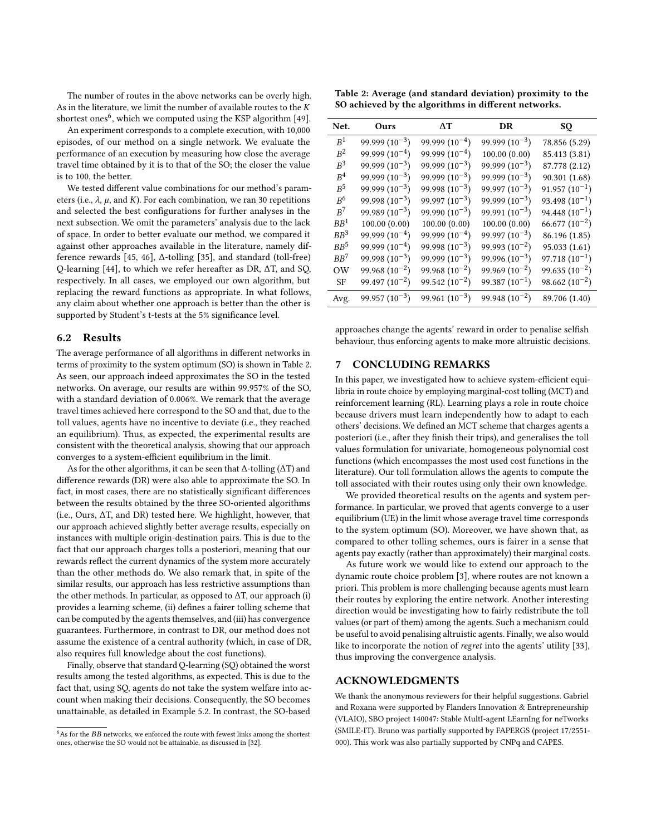The number of routes in the above networks can be overly high. As in the literature, we limit the number of available routes to the  $K$ shortest ones<sup>[6](#page-7-0)</sup>, which we computed using the KSP algorithm [\[49\]](#page-8-47).

An experiment corresponds to a complete execution, with 10,000 episodes, of our method on a single network. We evaluate the performance of an execution by measuring how close the average travel time obtained by it is to that of the SO; the closer the value is to 100, the better.

We tested different value combinations for our method's parameters (i.e.,  $\lambda$ ,  $\mu$ , and K). For each combination, we ran 30 repetitions and selected the best configurations for further analyses in the next subsection. We omit the parameters' analysis due to the lack of space. In order to better evaluate our method, we compared it against other approaches available in the literature, namely difference rewards [\[45,](#page-8-6) [46\]](#page-8-7), ∆-tolling [\[35\]](#page-8-5), and standard (toll-free) Q-learning [\[44\]](#page-8-14), to which we refer hereafter as DR, ∆T, and SQ, respectively. In all cases, we employed our own algorithm, but replacing the reward functions as appropriate. In what follows, any claim about whether one approach is better than the other is supported by Student's t-tests at the 5% significance level.

### 6.2 Results

The average performance of all algorithms in different networks in terms of proximity to the system optimum (SO) is shown in Table [2.](#page-7-1) As seen, our approach indeed approximates the SO in the tested networks. On average, our results are within 99.957% of the SO, with a standard deviation of 0.006%. We remark that the average travel times achieved here correspond to the SO and that, due to the toll values, agents have no incentive to deviate (i.e., they reached an equilibrium). Thus, as expected, the experimental results are consistent with the theoretical analysis, showing that our approach converges to a system-efficient equilibrium in the limit.

As for the other algorithms, it can be seen that ∆-tolling (∆T) and difference rewards (DR) were also able to approximate the SO. In fact, in most cases, there are no statistically significant differences between the results obtained by the three SO-oriented algorithms (i.e., Ours, ∆T, and DR) tested here. We highlight, however, that our approach achieved slightly better average results, especially on instances with multiple origin-destination pairs. This is due to the fact that our approach charges tolls a posteriori, meaning that our rewards reflect the current dynamics of the system more accurately than the other methods do. We also remark that, in spite of the similar results, our approach has less restrictive assumptions than the other methods. In particular, as opposed to  $\Delta T$ , our approach (i) provides a learning scheme, (ii) defines a fairer tolling scheme that can be computed by the agents themselves, and (iii) has convergence guarantees. Furthermore, in contrast to DR, our method does not assume the existence of a central authority (which, in case of DR, also requires full knowledge about the cost functions).

Finally, observe that standard Q-learning (SQ) obtained the worst results among the tested algorithms, as expected. This is due to the fact that, using SQ, agents do not take the system welfare into account when making their decisions. Consequently, the SO becomes unattainable, as detailed in Example [5.2.](#page-3-3) In contrast, the SO-based

<span id="page-7-1"></span>Table 2: Average (and standard deviation) proximity to the SO achieved by the algorithms in different networks.

| Net.            | Ours               | ΛT                 | DR                 | SQ                 |
|-----------------|--------------------|--------------------|--------------------|--------------------|
| $R^1$           | $99.999(10^{-3})$  | $99.999(10^{-4})$  | $99.999(10^{-3})$  | 78.856 (5.29)      |
| $R^2$           | $99.999(10^{-4})$  | $99.999(10^{-4})$  | 100.00(0.00)       | 85.413 (3.81)      |
| $R^3$           | $99.999(10^{-3})$  | 99.999 $(10^{-3})$ | $99.999(10^{-3})$  | 87.778 (2.12)      |
| $R^4$           | 99.999 $(10^{-3})$ | 99.999 $(10^{-3})$ | $99.999(10^{-3})$  | 90.301 (1.68)      |
| $R^5$           | $99.999(10^{-3})$  | $99.998(10^{-3})$  | $99.997(10^{-3})$  | $91.957(10^{-1})$  |
| R <sup>6</sup>  | $99.998(10^{-3})$  | 99.997 $(10^{-3})$ | $99.999(10^{-3})$  | $93.498(10^{-1})$  |
| $R^7$           | $99.989(10^{-3})$  | $99.990(10^{-3})$  | $99.991(10^{-3})$  | $94.448(10^{-1})$  |
| BB <sup>1</sup> | 100.00(0.00)       | 100.00(0.00)       | 100.00(0.00)       | $66.677(10^{-2})$  |
| $BB^3$          | $99.999(10^{-4})$  | $99.999(10^{-4})$  | $99.997(10^{-3})$  | 86.196 (1.85)      |
| BB <sup>5</sup> | $99.999(10^{-4})$  | $99.998(10^{-3})$  | $99.993(10^{-2})$  | 95.033 (1.61)      |
| $BB^7$          | $99.998(10^{-3})$  | 99.999 $(10^{-3})$ | 99.996 $(10^{-3})$ | $97.718(10^{-1})$  |
| OW              | $99.968(10^{-2})$  | $99.968(10^{-2})$  | $99.969(10^{-2})$  | 99.635 $(10^{-2})$ |
| <b>SF</b>       | 99.497 $(10^{-2})$ | 99.542 $(10^{-2})$ | $99.387(10^{-1})$  | 98.662 $(10^{-2})$ |
| Avg.            | $99.957(10^{-3})$  | 99.961 $(10^{-3})$ | $99.948(10^{-2})$  | 89.706 (1.40)      |

approaches change the agents' reward in order to penalise selfish behaviour, thus enforcing agents to make more altruistic decisions.

## 7 CONCLUDING REMARKS

In this paper, we investigated how to achieve system-efficient equilibria in route choice by employing marginal-cost tolling (MCT) and reinforcement learning (RL). Learning plays a role in route choice because drivers must learn independently how to adapt to each others' decisions. We defined an MCT scheme that charges agents a posteriori (i.e., after they finish their trips), and generalises the toll values formulation for univariate, homogeneous polynomial cost functions (which encompasses the most used cost functions in the literature). Our toll formulation allows the agents to compute the toll associated with their routes using only their own knowledge.

We provided theoretical results on the agents and system performance. In particular, we proved that agents converge to a user equilibrium (UE) in the limit whose average travel time corresponds to the system optimum (SO). Moreover, we have shown that, as compared to other tolling schemes, ours is fairer in a sense that agents pay exactly (rather than approximately) their marginal costs.

As future work we would like to extend our approach to the dynamic route choice problem [\[3\]](#page-8-49), where routes are not known a priori. This problem is more challenging because agents must learn their routes by exploring the entire network. Another interesting direction would be investigating how to fairly redistribute the toll values (or part of them) among the agents. Such a mechanism could be useful to avoid penalising altruistic agents. Finally, we also would like to incorporate the notion of regret into the agents' utility [\[33\]](#page-8-45), thus improving the convergence analysis.

## ACKNOWLEDGMENTS

We thank the anonymous reviewers for their helpful suggestions. Gabriel and Roxana were supported by Flanders Innovation & Entrepreneurship (VLAIO), SBO project 140047: Stable MultI-agent LEarnIng for neTworks (SMILE-IT). Bruno was partially supported by FAPERGS (project 17/2551- 000). This work was also partially supported by CNPq and CAPES.

<span id="page-7-0"></span> $6$ As for the  $BB$  networks, we enforced the route with fewest links among the shortest ones, otherwise the SO would not be attainable, as discussed in [\[32\]](#page-8-48).